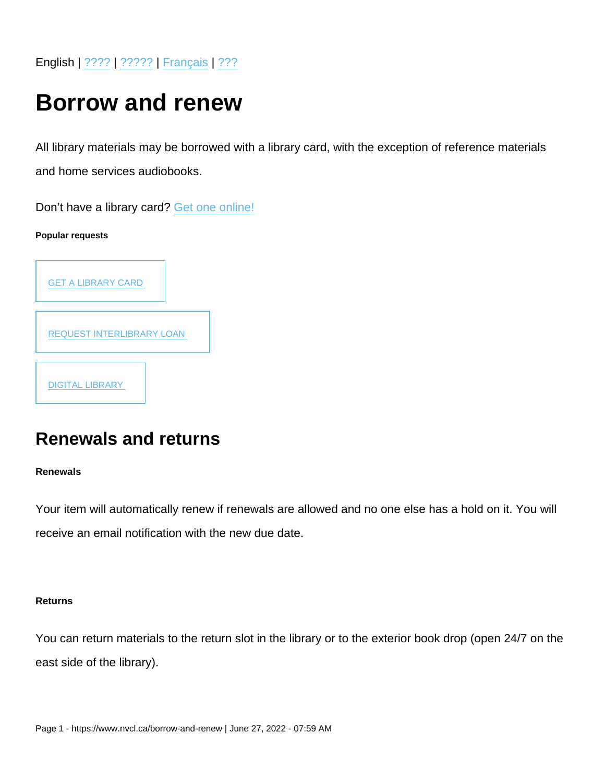English | [????](https://www.nvcl.ca/borrow-and-renew-chinese) | [?????](https://www.nvcl.ca/borrow-and-renew-farsi) | [Français](https://www.nvcl.ca/borrow-and-renew-french) | [???](https://www.nvcl.ca/borrow-and-renew-korean)

# Borrow and renew

All library materials may be borrowed with a library card, with the exception of reference materials and home services audiobooks.

Don't have a library card? [Get one online!](https://www.nvcl.ca/get-library-card)

Popular requests

| <b>GET A LIBRARY CARD</b>        |
|----------------------------------|
| <b>REQUEST INTERLIBRARY LOAN</b> |
| <b>DIGITAL LIBRARY</b>           |

# Renewals and returns

Renewals

Your item will automatically renew if renewals are allowed and no one else has a hold on it. You will receive an email notification with the new due date.

Returns

You can return materials to the return slot in the library or to the exterior book drop (open 24/7 on the east side of the library).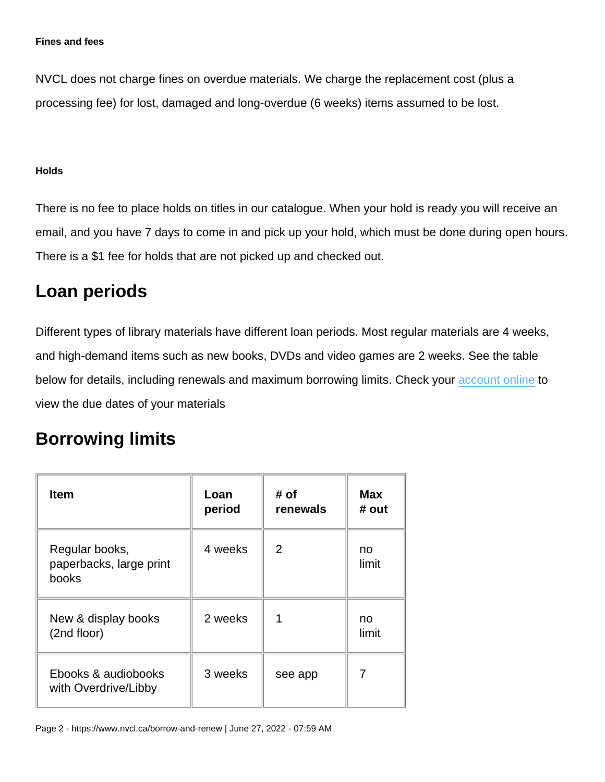NVCL does not charge fines on overdue materials. We charge the replacement cost (plus a processing fee) for lost, damaged and long-overdue (6 weeks) items assumed to be lost.

#### **Holds**

There is no fee to place holds on titles in our catalogue. When your hold is ready you will receive an email, and you have 7 days to come in and pick up your hold, which must be done during open hours. There is a \$1 fee for holds that are not picked up and checked out.

## Loan periods

Different types of library materials have different loan periods. Most regular materials are 4 weeks, and high-demand items such as new books, DVDs and video games are 2 weeks. See the table below for details, including renewals and maximum borrowing limits. Check your [account online](https://nvc.ent.sirsidynix.net/client/en_US/nvcl/entlogin) to view the due dates of your materials

### Borrowing limits

| Item                                               | Loan<br>period | # of<br>renewals | Max<br># out |
|----------------------------------------------------|----------------|------------------|--------------|
| Regular books,<br>paperbacks, large print<br>books | 4 weeks        | 2                | no<br>limit  |
| New & display books<br>(2nd floor)                 | 2 weeks        |                  | no<br>limit  |
| Ebooks & audiobooks<br>with Overdrive/Libby        | 3 weeks        | see app          |              |